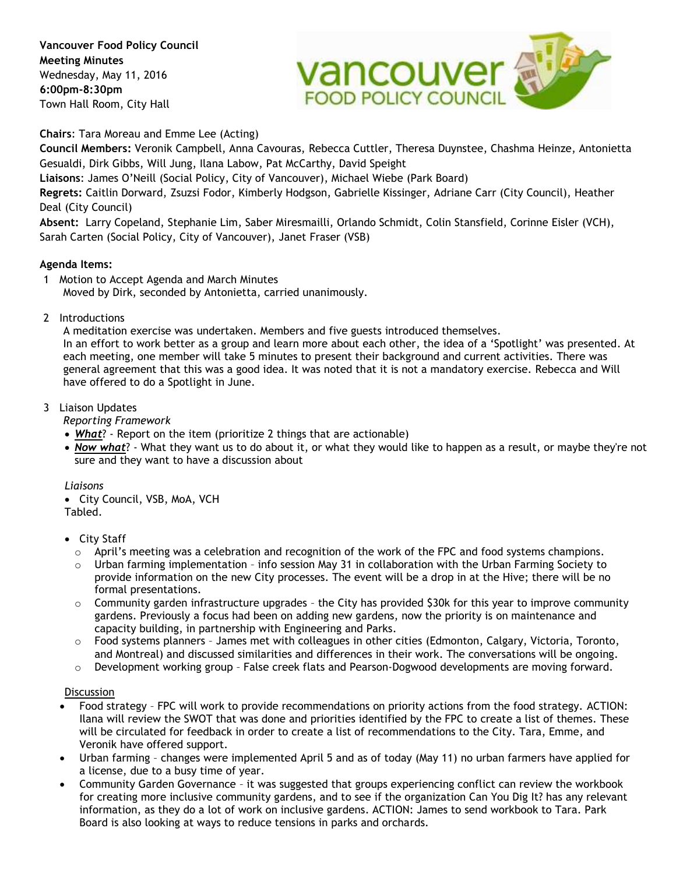**Vancouver Food Policy Council Meeting Minutes**  Wednesday, May 11, 2016 **6:00pm-8:30pm** Town Hall Room, City Hall



**Chairs**: Tara Moreau and Emme Lee (Acting)

**Council Members:** Veronik Campbell, Anna Cavouras, Rebecca Cuttler, Theresa Duynstee, Chashma Heinze, Antonietta Gesualdi, Dirk Gibbs, Will Jung, Ilana Labow, Pat McCarthy, David Speight

**Liaisons**: James O'Neill (Social Policy, City of Vancouver), Michael Wiebe (Park Board)

**Regrets:** Caitlin Dorward, Zsuzsi Fodor, Kimberly Hodgson, Gabrielle Kissinger, Adriane Carr (City Council), Heather Deal (City Council)

**Absent:** Larry Copeland, Stephanie Lim, Saber Miresmailli, Orlando Schmidt, Colin Stansfield, Corinne Eisler (VCH), Sarah Carten (Social Policy, City of Vancouver), Janet Fraser (VSB)

# **Agenda Items:**

- 1 Motion to Accept Agenda and March Minutes Moved by Dirk, seconded by Antonietta, carried unanimously.
- 2 Introductions

A meditation exercise was undertaken. Members and five guests introduced themselves.

In an effort to work better as a group and learn more about each other, the idea of a 'Spotlight' was presented. At each meeting, one member will take 5 minutes to present their background and current activities. There was general agreement that this was a good idea. It was noted that it is not a mandatory exercise. Rebecca and Will have offered to do a Spotlight in June.

# 3 Liaison Updates

*Reporting Framework*

- *What*? Report on the item (prioritize 2 things that are actionable)
- *Now what*? What they want us to do about it, or what they would like to happen as a result, or maybe they're not sure and they want to have a discussion about

#### *Liaisons*

 City Council, VSB, MoA, VCH Tabled.

- City Staff
	- $\circ$  April's meeting was a celebration and recognition of the work of the FPC and food systems champions.
	- $\circ$  Urban farming implementation info session May 31 in collaboration with the Urban Farming Society to provide information on the new City processes. The event will be a drop in at the Hive; there will be no formal presentations.
	- $\circ$  Community garden infrastructure upgrades the City has provided \$30k for this year to improve community gardens. Previously a focus had been on adding new gardens, now the priority is on maintenance and capacity building, in partnership with Engineering and Parks.
	- o Food systems planners James met with colleagues in other cities (Edmonton, Calgary, Victoria, Toronto, and Montreal) and discussed similarities and differences in their work. The conversations will be ongoing.
	- $\circ$  Development working group False creek flats and Pearson-Dogwood developments are moving forward.

#### **Discussion**

- Food strategy FPC will work to provide recommendations on priority actions from the food strategy. ACTION: Ilana will review the SWOT that was done and priorities identified by the FPC to create a list of themes. These will be circulated for feedback in order to create a list of recommendations to the City. Tara, Emme, and Veronik have offered support.
- Urban farming changes were implemented April 5 and as of today (May 11) no urban farmers have applied for a license, due to a busy time of year.
- Community Garden Governance it was suggested that groups experiencing conflict can review the workbook for creating more inclusive community gardens, and to see if the organization Can You Dig It? has any relevant information, as they do a lot of work on inclusive gardens. ACTION: James to send workbook to Tara. Park Board is also looking at ways to reduce tensions in parks and orchards.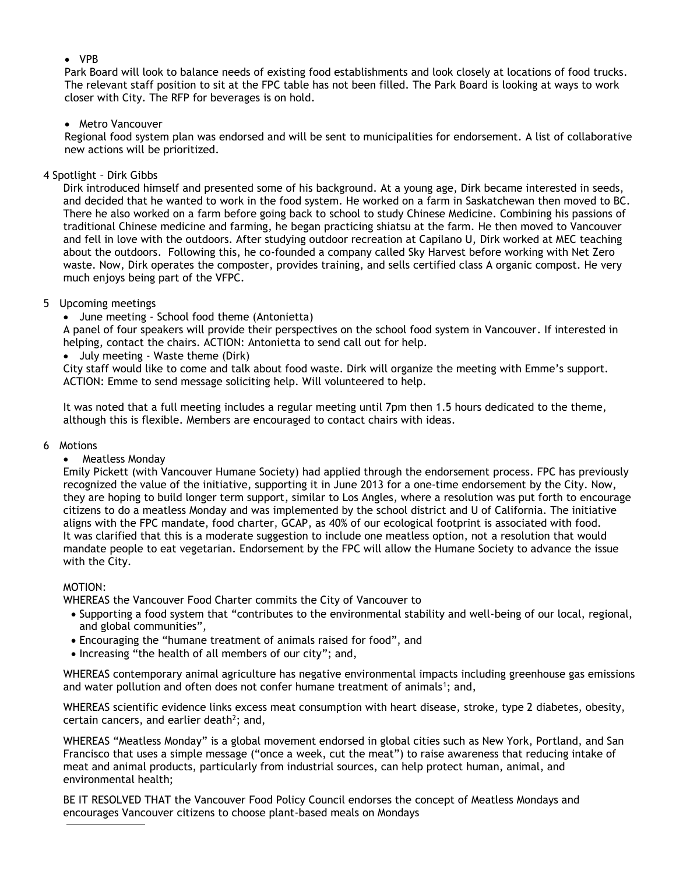### VPB

Park Board will look to balance needs of existing food establishments and look closely at locations of food trucks. The relevant staff position to sit at the FPC table has not been filled. The Park Board is looking at ways to work closer with City. The RFP for beverages is on hold.

### • Metro Vancouver

Regional food system plan was endorsed and will be sent to municipalities for endorsement. A list of collaborative new actions will be prioritized.

### 4 Spotlight – Dirk Gibbs

Dirk introduced himself and presented some of his background. At a young age, Dirk became interested in seeds, and decided that he wanted to work in the food system. He worked on a farm in Saskatchewan then moved to BC. There he also worked on a farm before going back to school to study Chinese Medicine. Combining his passions of traditional Chinese medicine and farming, he began practicing shiatsu at the farm. He then moved to Vancouver and fell in love with the outdoors. After studying outdoor recreation at Capilano U, Dirk worked at MEC teaching about the outdoors. Following this, he co-founded a company called Sky Harvest before working with Net Zero waste. Now, Dirk operates the composter, provides training, and sells certified class A organic compost. He very much enjoys being part of the VFPC.

# 5 Upcoming meetings

June meeting - School food theme (Antonietta)

A panel of four speakers will provide their perspectives on the school food system in Vancouver. If interested in helping, contact the chairs. ACTION: Antonietta to send call out for help.

July meeting - Waste theme (Dirk)

City staff would like to come and talk about food waste. Dirk will organize the meeting with Emme's support. ACTION: Emme to send message soliciting help. Will volunteered to help.

It was noted that a full meeting includes a regular meeting until 7pm then 1.5 hours dedicated to the theme, although this is flexible. Members are encouraged to contact chairs with ideas.

#### 6 Motions

#### Meatless Monday

Emily Pickett (with Vancouver Humane Society) had applied through the endorsement process. FPC has previously recognized the value of the initiative, supporting it in June 2013 for a one-time endorsement by the City. Now, they are hoping to build longer term support, similar to Los Angles, where a resolution was put forth to encourage citizens to do a meatless Monday and was implemented by the school district and U of California. The initiative aligns with the FPC mandate, food charter, GCAP, as 40% of our ecological footprint is associated with food. It was clarified that this is a moderate suggestion to include one meatless option, not a resolution that would mandate people to eat vegetarian. Endorsement by the FPC will allow the Humane Society to advance the issue with the City.

# MOTION:

WHEREAS the Vancouver Food Charter commits the City of Vancouver to

- Supporting a food system that "contributes to the environmental stability and well-being of our local, regional, and global communities",
- Encouraging the "humane treatment of animals raised for food", and
- Increasing "the health of all members of our city"; and,

WHEREAS contemporary animal agriculture has negative environmental impacts including greenhouse gas emissions and water pollution and often does not confer humane treatment of animals<sup>1</sup>; and,

WHEREAS scientific evidence links excess meat consumption with heart disease, stroke, type 2 diabetes, obesity, certain cancers, and earlier death<sup>2</sup>; and,

WHEREAS "Meatless Monday" is a global movement endorsed in global cities such as New York, Portland, and San Francisco that uses a simple message ("once a week, cut the meat") to raise awareness that reducing intake of meat and animal products, particularly from industrial sources, can help protect human, animal, and environmental health;

BE IT RESOLVED THAT the Vancouver Food Policy Council endorses the concept of Meatless Mondays and encourages Vancouver citizens to choose plant-based meals on Mondays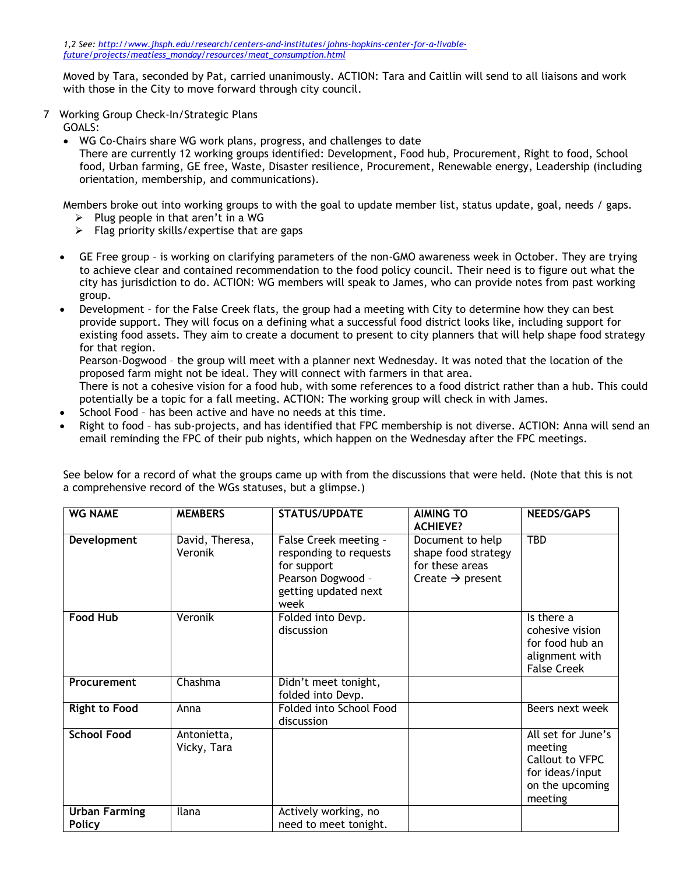Moved by Tara, seconded by Pat, carried unanimously. ACTION: Tara and Caitlin will send to all liaisons and work with those in the City to move forward through city council.

7 Working Group Check-In/Strategic Plans

GOALS:

WG Co-Chairs share WG work plans, progress, and challenges to date

There are currently 12 working groups identified: Development, Food hub, Procurement, Right to food, School food, Urban farming, GE free, Waste, Disaster resilience, Procurement, Renewable energy, Leadership (including orientation, membership, and communications).

Members broke out into working groups to with the goal to update member list, status update, goal, needs / gaps.

- $\triangleright$  Plug people in that aren't in a WG
- $\triangleright$  Flag priority skills/expertise that are gaps
- GE Free group is working on clarifying parameters of the non-GMO awareness week in October. They are trying to achieve clear and contained recommendation to the food policy council. Their need is to figure out what the city has jurisdiction to do. ACTION: WG members will speak to James, who can provide notes from past working group.
- Development for the False Creek flats, the group had a meeting with City to determine how they can best provide support. They will focus on a defining what a successful food district looks like, including support for existing food assets. They aim to create a document to present to city planners that will help shape food strategy for that region.

Pearson-Dogwood – the group will meet with a planner next Wednesday. It was noted that the location of the proposed farm might not be ideal. They will connect with farmers in that area.

There is not a cohesive vision for a food hub, with some references to a food district rather than a hub. This could potentially be a topic for a fall meeting. ACTION: The working group will check in with James.

- School Food has been active and have no needs at this time.
- Right to food has sub-projects, and has identified that FPC membership is not diverse. ACTION: Anna will send an email reminding the FPC of their pub nights, which happen on the Wednesday after the FPC meetings.

| <b>WG NAME</b>                        | <b>MEMBERS</b>             | <b>STATUS/UPDATE</b>                                                                                                | <b>AIMING TO</b><br><b>ACHIEVE?</b>                                                        | <b>NEEDS/GAPS</b>                                                                                 |
|---------------------------------------|----------------------------|---------------------------------------------------------------------------------------------------------------------|--------------------------------------------------------------------------------------------|---------------------------------------------------------------------------------------------------|
| Development                           | David, Theresa,<br>Veronik | False Creek meeting -<br>responding to requests<br>for support<br>Pearson Dogwood -<br>getting updated next<br>week | Document to help<br>shape food strategy<br>for these areas<br>Create $\rightarrow$ present | <b>TBD</b>                                                                                        |
| <b>Food Hub</b>                       | Veronik                    | Folded into Devp.<br>discussion                                                                                     |                                                                                            | Is there a<br>cohesive vision<br>for food hub an<br>alignment with<br><b>False Creek</b>          |
| Procurement                           | Chashma                    | Didn't meet tonight,<br>folded into Devp.                                                                           |                                                                                            |                                                                                                   |
| <b>Right to Food</b>                  | Anna                       | Folded into School Food<br>discussion                                                                               |                                                                                            | Beers next week                                                                                   |
| <b>School Food</b>                    | Antonietta,<br>Vicky, Tara |                                                                                                                     |                                                                                            | All set for June's<br>meeting<br>Callout to VFPC<br>for ideas/input<br>on the upcoming<br>meeting |
| <b>Urban Farming</b><br><b>Policy</b> | Ilana                      | Actively working, no<br>need to meet tonight.                                                                       |                                                                                            |                                                                                                   |

See below for a record of what the groups came up with from the discussions that were held. (Note that this is not a comprehensive record of the WGs statuses, but a glimpse.)